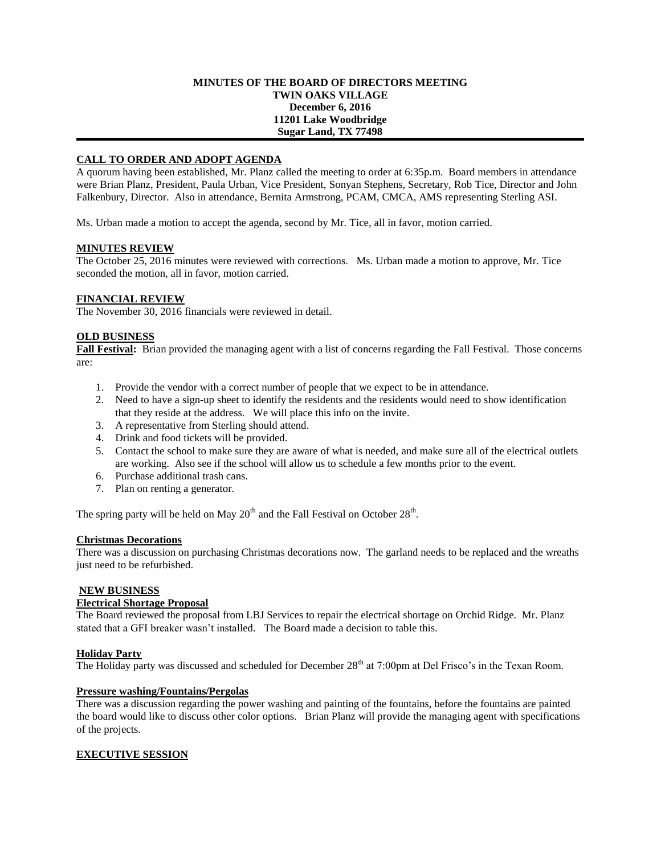### **MINUTES OF THE BOARD OF DIRECTORS MEETING TWIN OAKS VILLAGE December 6, 2016 11201 Lake Woodbridge Sugar Land, TX 77498**

# **CALL TO ORDER AND ADOPT AGENDA**

A quorum having been established, Mr. Planz called the meeting to order at 6:35p.m. Board members in attendance were Brian Planz, President, Paula Urban, Vice President, Sonyan Stephens, Secretary, Rob Tice, Director and John Falkenbury, Director. Also in attendance, Bernita Armstrong, PCAM, CMCA, AMS representing Sterling ASI.

Ms. Urban made a motion to accept the agenda, second by Mr. Tice, all in favor, motion carried.

### **MINUTES REVIEW**

The October 25, 2016 minutes were reviewed with corrections. Ms. Urban made a motion to approve, Mr. Tice seconded the motion, all in favor, motion carried.

### **FINANCIAL REVIEW**

The November 30, 2016 financials were reviewed in detail.

### **OLD BUSINESS**

**Fall Festival:** Brian provided the managing agent with a list of concerns regarding the Fall Festival. Those concerns are:

- 1. Provide the vendor with a correct number of people that we expect to be in attendance.
- 2. Need to have a sign-up sheet to identify the residents and the residents would need to show identification that they reside at the address. We will place this info on the invite.
- 3. A representative from Sterling should attend.
- 4. Drink and food tickets will be provided.
- 5. Contact the school to make sure they are aware of what is needed, and make sure all of the electrical outlets are working. Also see if the school will allow us to schedule a few months prior to the event.
- 6. Purchase additional trash cans.
- 7. Plan on renting a generator.

The spring party will be held on May  $20<sup>th</sup>$  and the Fall Festival on October  $28<sup>th</sup>$ .

#### **Christmas Decorations**

There was a discussion on purchasing Christmas decorations now. The garland needs to be replaced and the wreaths just need to be refurbished.

# **NEW BUSINESS**

#### **Electrical Shortage Proposal**

The Board reviewed the proposal from LBJ Services to repair the electrical shortage on Orchid Ridge. Mr. Planz stated that a GFI breaker wasn't installed. The Board made a decision to table this.

#### **Holiday Party**

The Holiday party was discussed and scheduled for December 28<sup>th</sup> at 7:00pm at Del Frisco's in the Texan Room.

# **Pressure washing/Fountains/Pergolas**

There was a discussion regarding the power washing and painting of the fountains, before the fountains are painted the board would like to discuss other color options. Brian Planz will provide the managing agent with specifications of the projects.

# **EXECUTIVE SESSION**